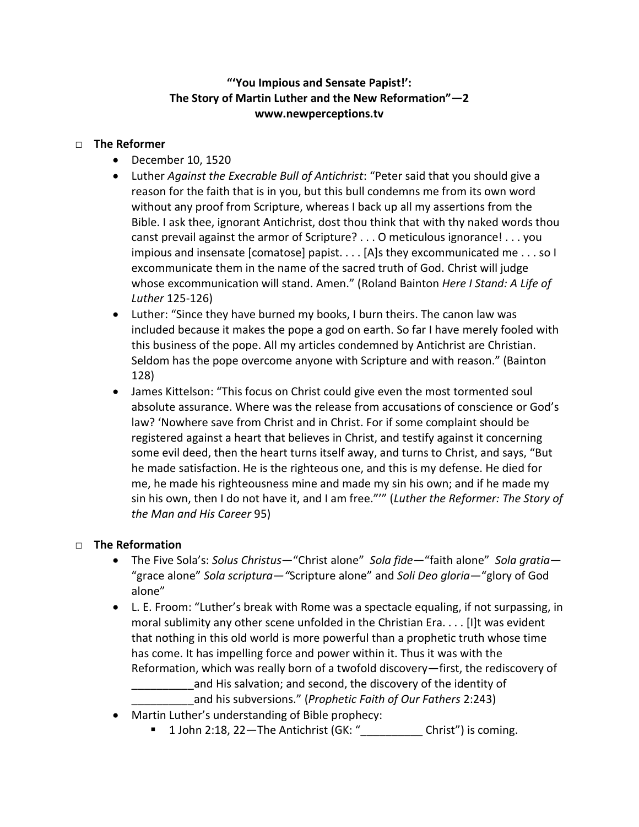## **"'You Impious and Sensate Papist!': The Story of Martin Luther and the New Reformation"—2 [www.newperceptions.tv](http://www.newperceptions.tv/)**

## □ **The Reformer**

- December 10, 1520
- Luther *Against the Execrable Bull of Antichrist*: "Peter said that you should give a reason for the faith that is in you, but this bull condemns me from its own word without any proof from Scripture, whereas I back up all my assertions from the Bible. I ask thee, ignorant Antichrist, dost thou think that with thy naked words thou canst prevail against the armor of Scripture? . . . O meticulous ignorance! . . . you impious and insensate [comatose] papist. . . . [A]s they excommunicated me . . . so I excommunicate them in the name of the sacred truth of God. Christ will judge whose excommunication will stand. Amen." (Roland Bainton *Here I Stand: A Life of Luther* 125-126)
- Luther: "Since they have burned my books, I burn theirs. The canon law was included because it makes the pope a god on earth. So far I have merely fooled with this business of the pope. All my articles condemned by Antichrist are Christian. Seldom has the pope overcome anyone with Scripture and with reason." (Bainton 128)
- James Kittelson: "This focus on Christ could give even the most tormented soul absolute assurance. Where was the release from accusations of conscience or God's law? 'Nowhere save from Christ and in Christ. For if some complaint should be registered against a heart that believes in Christ, and testify against it concerning some evil deed, then the heart turns itself away, and turns to Christ, and says, "But he made satisfaction. He is the righteous one, and this is my defense. He died for me, he made his righteousness mine and made my sin his own; and if he made my sin his own, then I do not have it, and I am free."'" (*Luther the Reformer: The Story of the Man and His Career* 95)

## □ **The Reformation**

- The Five Sola's: *Solus Christus*—"Christ alone" *Sola fide—*"faith alone" *Sola gratia—* "grace alone" *Sola scriptura—"*Scripture alone" and *Soli Deo gloria—*"glory of God alone"
- L. E. Froom: "Luther's break with Rome was a spectacle equaling, if not surpassing, in moral sublimity any other scene unfolded in the Christian Era. . . . [I]t was evident that nothing in this old world is more powerful than a prophetic truth whose time has come. It has impelling force and power within it. Thus it was with the Reformation, which was really born of a twofold discovery—first, the rediscovery of and His salvation; and second, the discovery of the identity of

\_\_\_\_\_\_\_\_\_\_and his subversions." (*Prophetic Faith of Our Fathers* 2:243)

- Martin Luther's understanding of Bible prophecy:
	- $1$  John 2:18, 22—The Antichrist (GK: " $\frac{1}{2}$  Christ") is coming.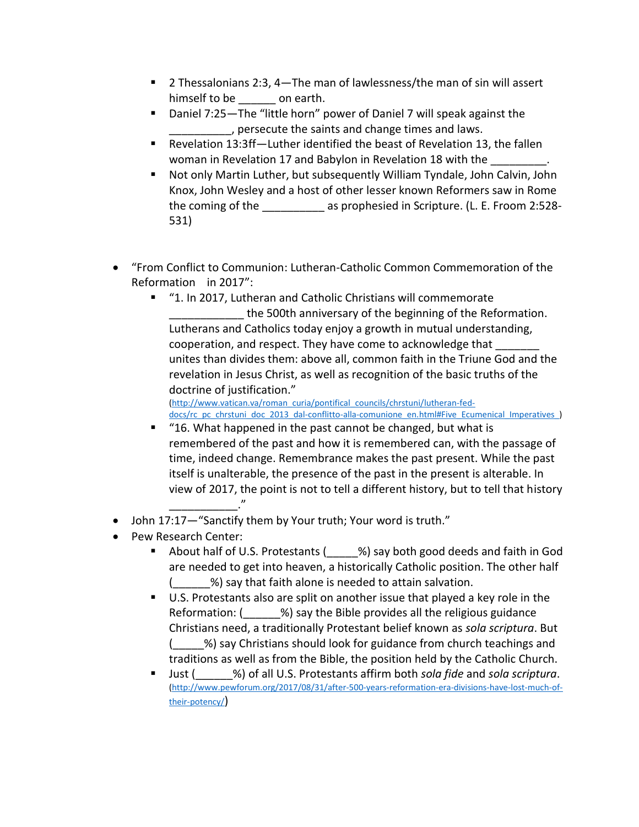- 2 Thessalonians 2:3, 4—The man of lawlessness/the man of sin will assert himself to be \_\_\_\_\_\_ on earth.
- Daniel 7:25—The "little horn" power of Daniel 7 will speak against the \_\_\_\_\_\_\_\_\_\_, persecute the saints and change times and laws.
- Revelation 13:3ff—Luther identified the beast of Revelation 13, the fallen woman in Revelation 17 and Babylon in Revelation 18 with the
- Not only Martin Luther, but subsequently William Tyndale, John Calvin, John Knox, John Wesley and a host of other lesser known Reformers saw in Rome the coming of the \_\_\_\_\_\_\_\_\_\_ as prophesied in Scripture. (L. E. Froom 2:528- 531)
- "From Conflict to Communion: Lutheran-Catholic Common Commemoration of the Reformation in 2017":
	- "1. In 2017, Lutheran and Catholic Christians will commemorate the 500th anniversary of the beginning of the Reformation. Lutherans and Catholics today enjoy a growth in mutual understanding, cooperation, and respect. They have come to acknowledge that \_\_\_\_\_\_\_ unites than divides them: above all, common faith in the Triune God and the revelation in Jesus Christ, as well as recognition of the basic truths of the doctrine of justification."

[\(http://www.vatican.va/roman\\_curia/pontifical\\_councils/chrstuni/lutheran-fed](http://www.vatican.va/roman_curia/pontifical_councils/chrstuni/lutheran-fed-docs/rc_pc_chrstuni_doc_2013_dal-conflitto-alla-comunione_en.html#Five_Ecumenical_Imperatives_)[docs/rc\\_pc\\_chrstuni\\_doc\\_2013\\_dal-conflitto-alla-comunione\\_en.html#Five\\_Ecumenical\\_Imperatives\\_\)](http://www.vatican.va/roman_curia/pontifical_councils/chrstuni/lutheran-fed-docs/rc_pc_chrstuni_doc_2013_dal-conflitto-alla-comunione_en.html#Five_Ecumenical_Imperatives_)

- "16. What happened in the past cannot be changed, but what is remembered of the past and how it is remembered can, with the passage of time, indeed change. Remembrance makes the past present. While the past itself is unalterable, the presence of the past in the present is alterable. In view of 2017, the point is not to tell a different history, but to tell that history \_\_\_\_\_\_\_\_\_\_\_."
- John 17:17—"Sanctify them by Your truth; Your word is truth."
- Pew Research Center:
	- About half of U.S. Protestants (\_\_\_\_\_%) say both good deeds and faith in God are needed to get into heaven, a historically Catholic position. The other half %) say that faith alone is needed to attain salvation.
	- U.S. Protestants also are split on another issue that played a key role in the Reformation: ( $\%$ ) say the Bible provides all the religious guidance Christians need, a traditionally Protestant belief known as *sola scriptura*. But (\_\_\_\_\_%) say Christians should look for guidance from church teachings and traditions as well as from the Bible, the position held by the Catholic Church.
	- Just (\_\_\_\_\_\_%) of all U.S. Protestants affirm both *sola fide* and *sola scriptura*. [\(http://www.pewforum.org/2017/08/31/after-500-years-reformation-era-divisions-have-lost-much-of](http://www.pewforum.org/2017/08/31/after-500-years-reformation-era-divisions-have-lost-much-of-their-potency/)[their-potency/](http://www.pewforum.org/2017/08/31/after-500-years-reformation-era-divisions-have-lost-much-of-their-potency/))